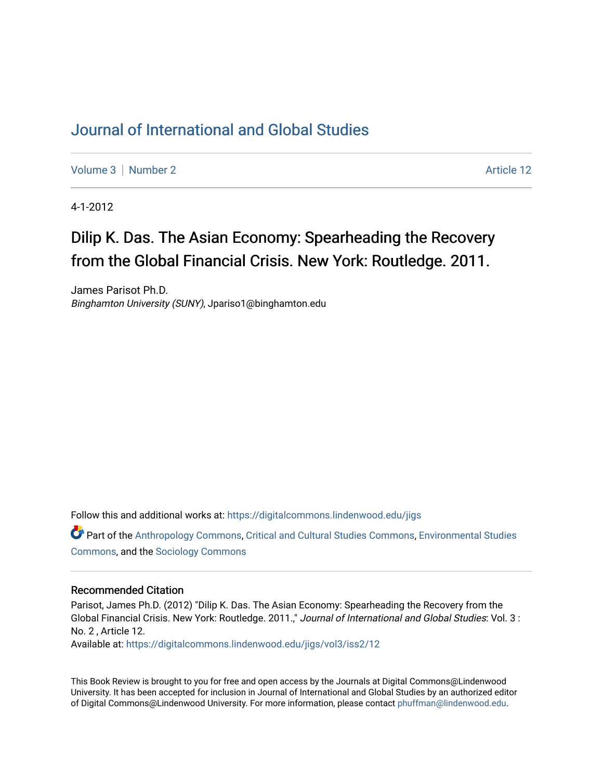## [Journal of International and Global Studies](https://digitalcommons.lindenwood.edu/jigs)

[Volume 3](https://digitalcommons.lindenwood.edu/jigs/vol3) | [Number 2](https://digitalcommons.lindenwood.edu/jigs/vol3/iss2) Article 12

4-1-2012

## Dilip K. Das. The Asian Economy: Spearheading the Recovery from the Global Financial Crisis. New York: Routledge. 2011.

James Parisot Ph.D. Binghamton University (SUNY), Jpariso1@binghamton.edu

Follow this and additional works at: [https://digitalcommons.lindenwood.edu/jigs](https://digitalcommons.lindenwood.edu/jigs?utm_source=digitalcommons.lindenwood.edu%2Fjigs%2Fvol3%2Fiss2%2F12&utm_medium=PDF&utm_campaign=PDFCoverPages) 

Part of the [Anthropology Commons](http://network.bepress.com/hgg/discipline/318?utm_source=digitalcommons.lindenwood.edu%2Fjigs%2Fvol3%2Fiss2%2F12&utm_medium=PDF&utm_campaign=PDFCoverPages), [Critical and Cultural Studies Commons](http://network.bepress.com/hgg/discipline/328?utm_source=digitalcommons.lindenwood.edu%2Fjigs%2Fvol3%2Fiss2%2F12&utm_medium=PDF&utm_campaign=PDFCoverPages), [Environmental Studies](http://network.bepress.com/hgg/discipline/1333?utm_source=digitalcommons.lindenwood.edu%2Fjigs%2Fvol3%2Fiss2%2F12&utm_medium=PDF&utm_campaign=PDFCoverPages)  [Commons](http://network.bepress.com/hgg/discipline/1333?utm_source=digitalcommons.lindenwood.edu%2Fjigs%2Fvol3%2Fiss2%2F12&utm_medium=PDF&utm_campaign=PDFCoverPages), and the [Sociology Commons](http://network.bepress.com/hgg/discipline/416?utm_source=digitalcommons.lindenwood.edu%2Fjigs%2Fvol3%2Fiss2%2F12&utm_medium=PDF&utm_campaign=PDFCoverPages)

## Recommended Citation

Parisot, James Ph.D. (2012) "Dilip K. Das. The Asian Economy: Spearheading the Recovery from the Global Financial Crisis. New York: Routledge. 2011.," Journal of International and Global Studies: Vol. 3 : No. 2 , Article 12.

Available at: [https://digitalcommons.lindenwood.edu/jigs/vol3/iss2/12](https://digitalcommons.lindenwood.edu/jigs/vol3/iss2/12?utm_source=digitalcommons.lindenwood.edu%2Fjigs%2Fvol3%2Fiss2%2F12&utm_medium=PDF&utm_campaign=PDFCoverPages) 

This Book Review is brought to you for free and open access by the Journals at Digital Commons@Lindenwood University. It has been accepted for inclusion in Journal of International and Global Studies by an authorized editor of Digital Commons@Lindenwood University. For more information, please contact [phuffman@lindenwood.edu](mailto:phuffman@lindenwood.edu).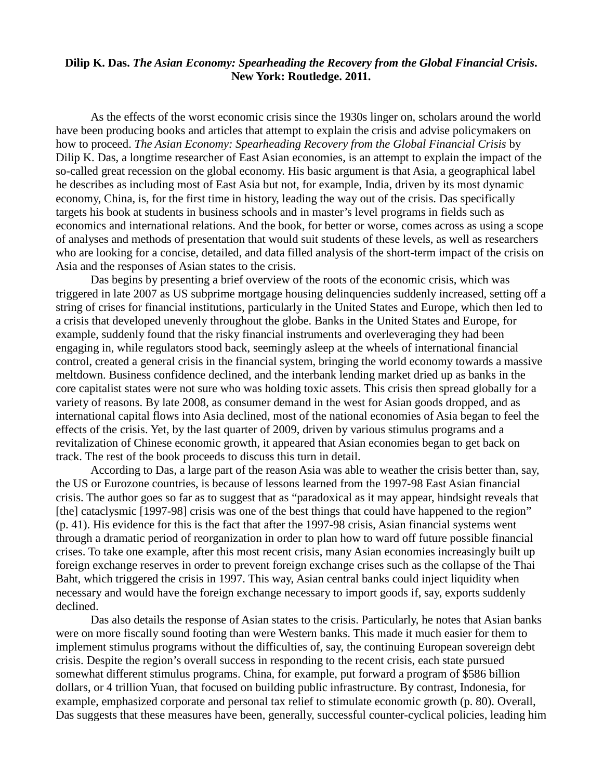## **Dilip K. Das.** *The Asian Economy: Spearheading the Recovery from the Global Financial Crisis***. New York: Routledge. 2011.**

As the effects of the worst economic crisis since the 1930s linger on, scholars around the world have been producing books and articles that attempt to explain the crisis and advise policymakers on how to proceed. *The Asian Economy: Spearheading Recovery from the Global Financial Crisis* by Dilip K. Das, a longtime researcher of East Asian economies, is an attempt to explain the impact of the so-called great recession on the global economy. His basic argument is that Asia, a geographical label he describes as including most of East Asia but not, for example, India, driven by its most dynamic economy, China, is, for the first time in history, leading the way out of the crisis. Das specifically targets his book at students in business schools and in master's level programs in fields such as economics and international relations. And the book, for better or worse, comes across as using a scope of analyses and methods of presentation that would suit students of these levels, as well as researchers who are looking for a concise, detailed, and data filled analysis of the short-term impact of the crisis on Asia and the responses of Asian states to the crisis.

 Das begins by presenting a brief overview of the roots of the economic crisis, which was triggered in late 2007 as US subprime mortgage housing delinquencies suddenly increased, setting off a string of crises for financial institutions, particularly in the United States and Europe, which then led to a crisis that developed unevenly throughout the globe. Banks in the United States and Europe, for example, suddenly found that the risky financial instruments and overleveraging they had been engaging in, while regulators stood back, seemingly asleep at the wheels of international financial control, created a general crisis in the financial system, bringing the world economy towards a massive meltdown. Business confidence declined, and the interbank lending market dried up as banks in the core capitalist states were not sure who was holding toxic assets. This crisis then spread globally for a variety of reasons. By late 2008, as consumer demand in the west for Asian goods dropped, and as international capital flows into Asia declined, most of the national economies of Asia began to feel the effects of the crisis. Yet, by the last quarter of 2009, driven by various stimulus programs and a revitalization of Chinese economic growth, it appeared that Asian economies began to get back on track. The rest of the book proceeds to discuss this turn in detail.

According to Das, a large part of the reason Asia was able to weather the crisis better than, say, the US or Eurozone countries, is because of lessons learned from the 1997-98 East Asian financial crisis. The author goes so far as to suggest that as "paradoxical as it may appear, hindsight reveals that [the] cataclysmic [1997-98] crisis was one of the best things that could have happened to the region" (p. 41). His evidence for this is the fact that after the 1997-98 crisis, Asian financial systems went through a dramatic period of reorganization in order to plan how to ward off future possible financial crises. To take one example, after this most recent crisis, many Asian economies increasingly built up foreign exchange reserves in order to prevent foreign exchange crises such as the collapse of the Thai Baht, which triggered the crisis in 1997. This way, Asian central banks could inject liquidity when necessary and would have the foreign exchange necessary to import goods if, say, exports suddenly declined.

Das also details the response of Asian states to the crisis. Particularly, he notes that Asian banks were on more fiscally sound footing than were Western banks. This made it much easier for them to implement stimulus programs without the difficulties of, say, the continuing European sovereign debt crisis. Despite the region's overall success in responding to the recent crisis, each state pursued somewhat different stimulus programs. China, for example, put forward a program of \$586 billion dollars, or 4 trillion Yuan, that focused on building public infrastructure. By contrast, Indonesia, for example, emphasized corporate and personal tax relief to stimulate economic growth (p. 80). Overall, Das suggests that these measures have been, generally, successful counter-cyclical policies, leading him